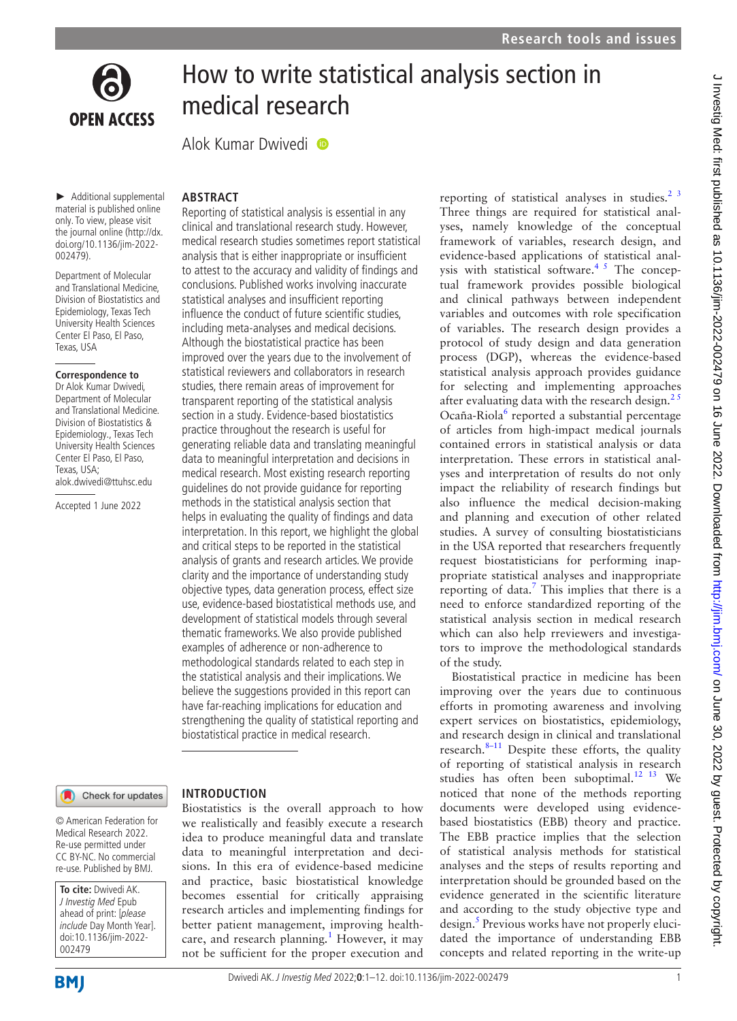

including meta-analyses and medical decisions. Although the biostatistical practice has been improved over the years due to the involvement of statistical reviewers and collaborators in research studies, there remain areas of improvement for transparent reporting of the statistical analysis section in a study. Evidence-based biostatistics practice throughout the research is useful for generating reliable data and translating meaningful data to meaningful interpretation and decisions in medical research. Most existing research reporting guidelines do not provide guidance for reporting methods in the statistical analysis section that helps in evaluating the quality of findings and data interpretation. In this report, we highlight the global and critical steps to be reported in the statistical analysis of grants and research articles. We provide clarity and the importance of understanding study objective types, data generation process, effect size use, evidence-based biostatistical methods use, and development of statistical models through several thematic frameworks. We also provide published examples of adherence or non-adherence to methodological standards related to each step in the statistical analysis and their implications. We believe the suggestions provided in this report can have far-reaching implications for education and strengthening the quality of statistical reporting and biostatistical practice in medical research.

### Check for updates

© American Federation for Medical Research 2022. Re-use permitted under CC BY-NC. No commercial re-use. Published by BMJ.

► Additional supplemental material is published online only. To view, please visit the journal online [\(http://dx.](http://dx.doi.org/10.1136/jim-2022-002479) [doi.org/10.1136/jim-2022-](http://dx.doi.org/10.1136/jim-2022-002479)

**OPEN ACCESS** 

**ABSTRACT**

Department of Molecular and Translational Medicine, Division of Biostatistics and Epidemiology, Texas Tech University Health Sciences Center El Paso, El Paso, Texas, USA

**Correspondence to** Dr Alok Kumar Dwivedi, Department of Molecular and Translational Medicine. Division of Biostatistics & Epidemiology., Texas Tech University Health Sciences Center El Paso, El Paso, Texas, USA;

alok.dwivedi@ttuhsc.edu Accepted 1 June 2022

[002479](http://dx.doi.org/10.1136/jim-2022-002479)).

**To cite:** Dwivedi AK. J Investig Med Epub ahead of print: [please include Day Month Year]. doi:10.1136/jim-2022-

### **INTRODUCTION**

Biostatistics is the overall approach to how we realistically and feasibly execute a research idea to produce meaningful data and translate data to meaningful interpretation and decisions. In this era of evidence-based medicine and practice, basic biostatistical knowledge becomes essential for critically appraising research articles and implementing findings for better patient management, improving health-care, and research planning.<sup>[1](#page-9-0)</sup> However, it may not be sufficient for the proper execution and

reporting of statistical analyses in studies. $23$ Three things are required for statistical analyses, namely knowledge of the conceptual framework of variables, research design, and evidence-based applications of statistical analysis with statistical software.<sup>45</sup> The conceptual framework provides possible biological and clinical pathways between independent variables and outcomes with role specification of variables. The research design provides a protocol of study design and data generation process (DGP), whereas the evidence-based statistical analysis approach provides guidance for selecting and implementing approaches after evaluating data with the research design.<sup>25</sup> Ocaña-Riola<sup>[6](#page-10-0)</sup> reported a substantial percentage of articles from high-impact medical journals contained errors in statistical analysis or data interpretation. These errors in statistical analyses and interpretation of results do not only impact the reliability of research findings but also influence the medical decision-making and planning and execution of other related studies. A survey of consulting biostatisticians in the USA reported that researchers frequently request biostatisticians for performing inappropriate statistical analyses and inappropriate reporting of data.<sup>[7](#page-10-1)</sup> This implies that there is a need to enforce standardized reporting of the statistical analysis section in medical research which can also help rreviewers and investigators to improve the methodological standards of the study.

Biostatistical practice in medicine has been improving over the years due to continuous efforts in promoting awareness and involving expert services on biostatistics, epidemiology, and research design in clinical and translational research. $8-11$  Despite these efforts, the quality of reporting of statistical analysis in research studies has often been suboptimal. $12 \t13$  We noticed that none of the methods reporting documents were developed using evidencebased biostatistics (EBB) theory and practice. The EBB practice implies that the selection of statistical analysis methods for statistical analyses and the steps of results reporting and interpretation should be grounded based on the evidence generated in the scientific literature and according to the study objective type and design.<sup>5</sup> Previous works have not properly elucidated the importance of understanding EBB concepts and related reporting in the write-up

002479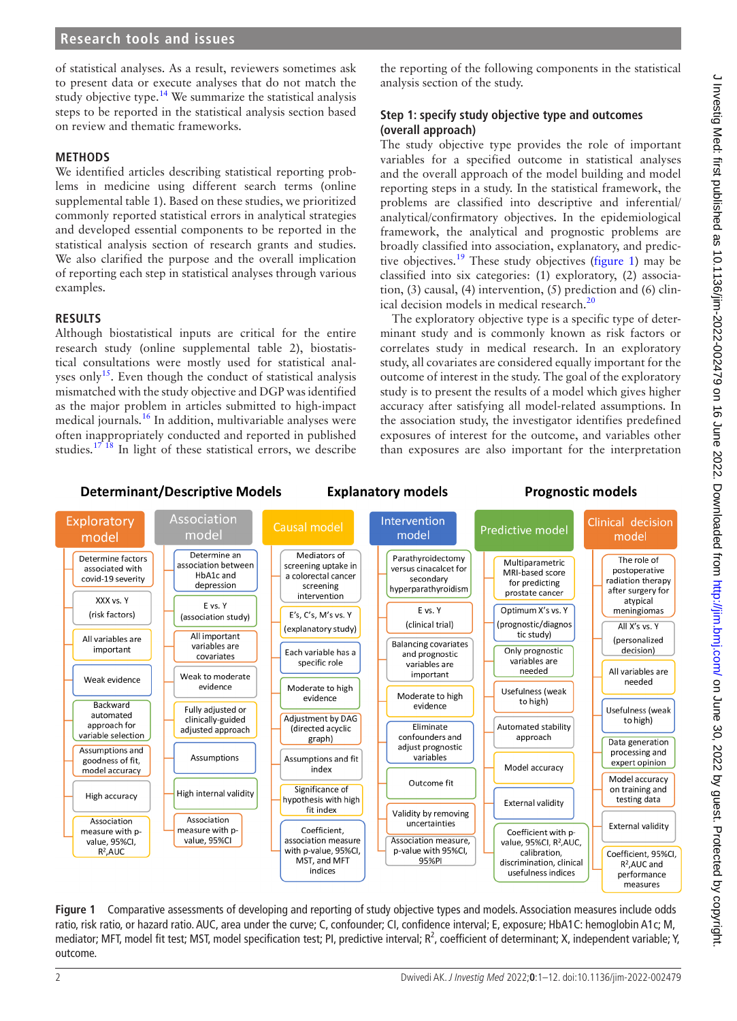of statistical analyses. As a result, reviewers sometimes ask to present data or execute analyses that do not match the study objective type.<sup>[14](#page-10-4)</sup> We summarize the statistical analysis steps to be reported in the statistical analysis section based on review and thematic frameworks.

### **METHODS**

We identified articles describing statistical reporting problems in medicine using different search terms ([online](https://dx.doi.org/10.1136/jim-2022-002479) [supplemental table 1\)](https://dx.doi.org/10.1136/jim-2022-002479). Based on these studies, we prioritized commonly reported statistical errors in analytical strategies and developed essential components to be reported in the statistical analysis section of research grants and studies. We also clarified the purpose and the overall implication of reporting each step in statistical analyses through various examples.

### **RESULTS**

Although biostatistical inputs are critical for the entire research study ([online supplemental table 2\)](https://dx.doi.org/10.1136/jim-2022-002479), biostatistical consultations were mostly used for statistical analyses only<sup>15</sup>. Even though the conduct of statistical analysis mismatched with the study objective and DGP was identified as the major problem in articles submitted to high-impact medical journals.[16](#page-10-6) In addition, multivariable analyses were often inappropriately conducted and reported in published studies.<sup>[17 18](#page-10-7)</sup> In light of these statistical errors, we describe

the reporting of the following components in the statistical analysis section of the study.

# **Step 1: specify study objective type and outcomes (overall approach)**

The study objective type provides the role of important variables for a specified outcome in statistical analyses and the overall approach of the model building and model reporting steps in a study. In the statistical framework, the problems are classified into descriptive and inferential/ analytical/confirmatory objectives. In the epidemiological framework, the analytical and prognostic problems are broadly classified into association, explanatory, and predic-tive objectives.<sup>[19](#page-10-8)</sup> These study objectives [\(figure](#page-1-0) 1) may be classified into six categories: (1) exploratory, (2) association, (3) causal, (4) intervention, (5) prediction and (6) clin-ical decision models in medical research.<sup>[20](#page-10-9)</sup>

The exploratory objective type is a specific type of determinant study and is commonly known as risk factors or correlates study in medical research. In an exploratory study, all covariates are considered equally important for the outcome of interest in the study. The goal of the exploratory study is to present the results of a model which gives higher accuracy after satisfying all model-related assumptions. In the association study, the investigator identifies predefined exposures of interest for the outcome, and variables other than exposures are also important for the interpretation

### **Determinant/Descriptive Models**

# **Explanatory models**

# **Prognostic models**



<span id="page-1-0"></span>**Figure 1** Comparative assessments of developing and reporting of study objective types and models. Association measures include odds ratio, risk ratio, or hazard ratio. AUC, area under the curve; C, confounder; CI, confidence interval; E, exposure; HbA1C: hemoglobin A1c; M, mediator; MFT, model fit test; MST, model specification test; PI, predictive interval;  $R^2$ , coefficient of determinant; X, independent variable; Y, outcome.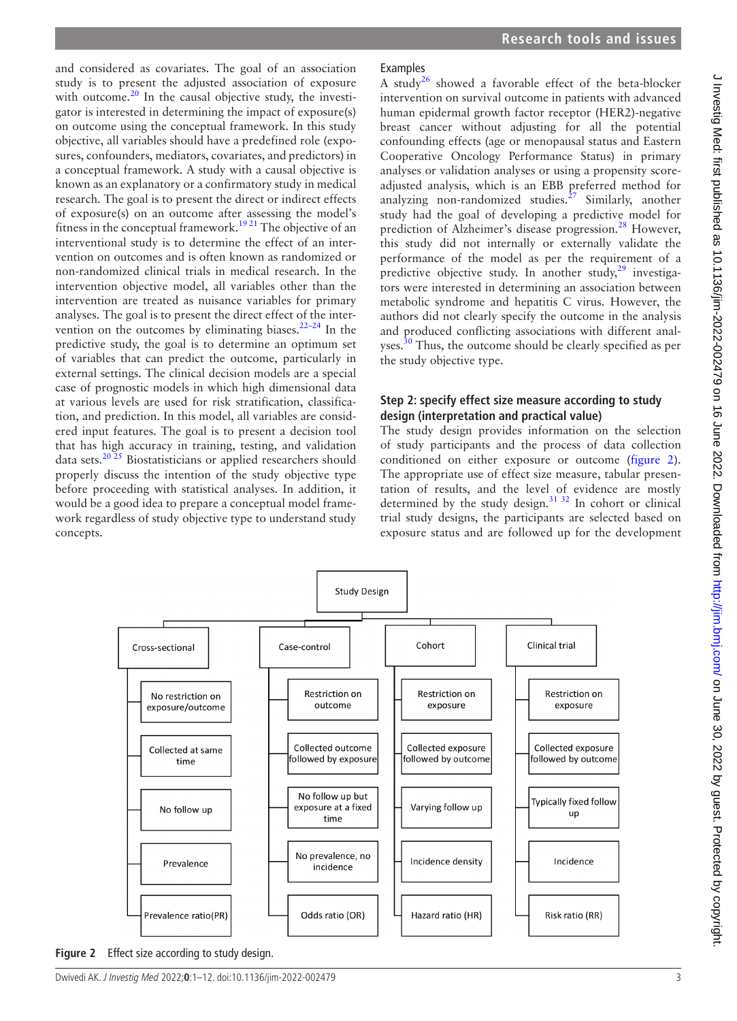and considered as covariates. The goal of an association study is to present the adjusted association of exposure with outcome. $^{20}$  $^{20}$  $^{20}$  In the causal objective study, the investigator is interested in determining the impact of exposure(s) on outcome using the conceptual framework. In this study objective, all variables should have a predefined role (exposures, confounders, mediators, covariates, and predictors) in a conceptual framework. A study with a causal objective is known as an explanatory or a confirmatory study in medical research. The goal is to present the direct or indirect effects of exposure(s) on an outcome after assessing the model's fitness in the conceptual framework.<sup>[19 21](#page-10-8)</sup> The objective of an interventional study is to determine the effect of an intervention on outcomes and is often known as randomized or non-randomized clinical trials in medical research. In the intervention objective model, all variables other than the intervention are treated as nuisance variables for primary analyses. The goal is to present the direct effect of the intervention on the outcomes by eliminating biases. $22-24$  In the predictive study, the goal is to determine an optimum set of variables that can predict the outcome, particularly in external settings. The clinical decision models are a special case of prognostic models in which high dimensional data at various levels are used for risk stratification, classification, and prediction. In this model, all variables are considered input features. The goal is to present a decision tool that has high accuracy in training, testing, and validation data sets.<sup>20 25</sup> Biostatisticians or applied researchers should properly discuss the intention of the study objective type before proceeding with statistical analyses. In addition, it would be a good idea to prepare a conceptual model framework regardless of study objective type to understand study concepts.

# J Investig Med: first published as 10.1136/jim-2022-002479 on 16 June 2022. Downloaded from http://jim.bmj.com/ on June 30, 2022 by guest. Protected by copyright J Investig Med: first published as 10.1136/jim-2022-002479 on 16 June 2022. Downloaded from <http://jim.bmj.com/> on June 30, 2022 by guest. Protected by copyright.

# Examples

A study<sup>[26](#page-10-11)</sup> showed a favorable effect of the beta-blocker intervention on survival outcome in patients with advanced human epidermal growth factor receptor (HER2)-negative breast cancer without adjusting for all the potential confounding effects (age or menopausal status and Eastern Cooperative Oncology Performance Status) in primary analyses or validation analyses or using a propensity scoreadjusted analysis, which is an EBB preferred method for analyzing non-randomized studies.<sup>[27](#page-10-12)</sup> Similarly, another study had the goal of developing a predictive model for prediction of Alzheimer's disease progression.<sup>[28](#page-10-13)</sup> However, this study did not internally or externally validate the performance of the model as per the requirement of a predictive objective study. In another study, $2^9$  investigators were interested in determining an association between metabolic syndrome and hepatitis C virus. However, the authors did not clearly specify the outcome in the analysis and produced conflicting associations with different analyses.<sup>30</sup> Thus, the outcome should be clearly specified as per the study objective type.

# **Step 2: specify effect size measure according to study design (interpretation and practical value)**

The study design provides information on the selection of study participants and the process of data collection conditioned on either exposure or outcome [\(figure](#page-2-0) 2). The appropriate use of effect size measure, tabular presentation of results, and the level of evidence are mostly determined by the study design. $3132$  In cohort or clinical trial study designs, the participants are selected based on exposure status and are followed up for the development



<span id="page-2-0"></span>**Figure 2** Effect size according to study design.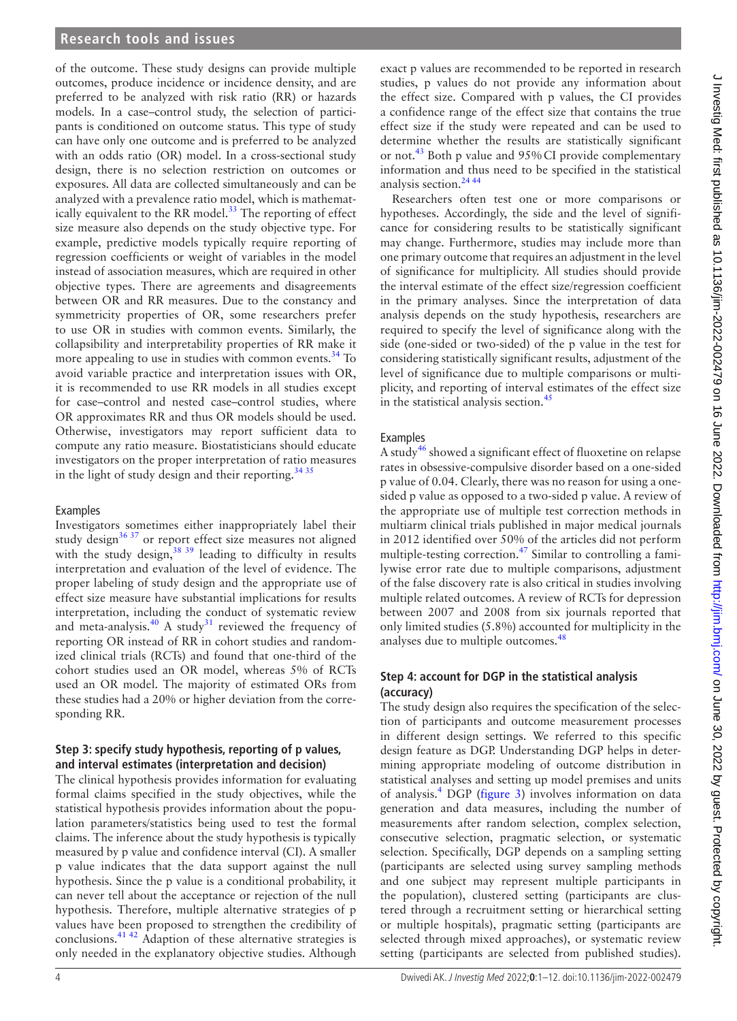of the outcome. These study designs can provide multiple outcomes, produce incidence or incidence density, and are preferred to be analyzed with risk ratio (RR) or hazards models. In a case–control study, the selection of participants is conditioned on outcome status. This type of study can have only one outcome and is preferred to be analyzed with an odds ratio (OR) model. In a cross-sectional study design, there is no selection restriction on outcomes or exposures. All data are collected simultaneously and can be analyzed with a prevalence ratio model, which is mathematically equivalent to the RR model. $^{33}$  The reporting of effect size measure also depends on the study objective type. For example, predictive models typically require reporting of regression coefficients or weight of variables in the model instead of association measures, which are required in other objective types. There are agreements and disagreements between OR and RR measures. Due to the constancy and symmetricity properties of OR, some researchers prefer to use OR in studies with common events. Similarly, the collapsibility and interpretability properties of RR make it more appealing to use in studies with common events.<sup>34</sup> To avoid variable practice and interpretation issues with OR, it is recommended to use RR models in all studies except for case–control and nested case–control studies, where OR approximates RR and thus OR models should be used. Otherwise, investigators may report sufficient data to compute any ratio measure. Biostatisticians should educate investigators on the proper interpretation of ratio measures in the light of study design and their reporting.<sup>[34 35](#page-10-18)</sup>

### Examples

Investigators sometimes either inappropriately label their study  $\det^{-36}$  37 or report effect size measures not aligned with the study design,  $38\frac{39}{10}$  leading to difficulty in results interpretation and evaluation of the level of evidence. The proper labeling of study design and the appropriate use of effect size measure have substantial implications for results interpretation, including the conduct of systematic review and meta-analysis. $40$  A study<sup>31</sup> reviewed the frequency of reporting OR instead of RR in cohort studies and randomized clinical trials (RCTs) and found that one-third of the cohort studies used an OR model, whereas 5% of RCTs used an OR model. The majority of estimated ORs from these studies had a 20% or higher deviation from the corresponding RR.

# **Step 3: specify study hypothesis, reporting of p values, and interval estimates (interpretation and decision)**

The clinical hypothesis provides information for evaluating formal claims specified in the study objectives, while the statistical hypothesis provides information about the population parameters/statistics being used to test the formal claims. The inference about the study hypothesis is typically measured by p value and confidence interval (CI). A smaller p value indicates that the data support against the null hypothesis. Since the p value is a conditional probability, it can never tell about the acceptance or rejection of the null hypothesis. Therefore, multiple alternative strategies of p values have been proposed to strengthen the credibility of conclusions[.41 42](#page-10-22) Adaption of these alternative strategies is only needed in the explanatory objective studies. Although

exact p values are recommended to be reported in research studies, p values do not provide any information about the effect size. Compared with p values, the CI provides a confidence range of the effect size that contains the true effect size if the study were repeated and can be used to determine whether the results are statistically significant or not.<sup>43</sup> Both p value and 95% CI provide complementary information and thus need to be specified in the statistical analysis section.[24 44](#page-10-24)

Researchers often test one or more comparisons or hypotheses. Accordingly, the side and the level of significance for considering results to be statistically significant may change. Furthermore, studies may include more than one primary outcome that requires an adjustment in the level of significance for multiplicity. All studies should provide the interval estimate of the effect size/regression coefficient in the primary analyses. Since the interpretation of data analysis depends on the study hypothesis, researchers are required to specify the level of significance along with the side (one-sided or two-sided) of the p value in the test for considering statistically significant results, adjustment of the level of significance due to multiple comparisons or multiplicity, and reporting of interval estimates of the effect size in the statistical analysis section.<sup>45</sup>

### Examples

A study<sup>[46](#page-10-26)</sup> showed a significant effect of fluoxetine on relapse rates in obsessive-compulsive disorder based on a one-sided p value of 0.04. Clearly, there was no reason for using a onesided p value as opposed to a two-sided p value. A review of the appropriate use of multiple test correction methods in multiarm clinical trials published in major medical journals in 2012 identified over 50% of the articles did not perform multiple-testing correction.<sup>[47](#page-10-27)</sup> Similar to controlling a familywise error rate due to multiple comparisons, adjustment of the false discovery rate is also critical in studies involving multiple related outcomes. A review of RCTs for depression between 2007 and 2008 from six journals reported that only limited studies (5.8%) accounted for multiplicity in the analyses due to multiple outcomes.<sup>[48](#page-10-28)</sup>

# **Step 4: account for DGP in the statistical analysis (accuracy)**

The study design also requires the specification of the selection of participants and outcome measurement processes in different design settings. We referred to this specific design feature as DGP. Understanding DGP helps in determining appropriate modeling of outcome distribution in statistical analyses and setting up model premises and units of analysis.[4](#page-9-2) DGP [\(figure](#page-4-0) 3) involves information on data generation and data measures, including the number of measurements after random selection, complex selection, consecutive selection, pragmatic selection, or systematic selection. Specifically, DGP depends on a sampling setting (participants are selected using survey sampling methods and one subject may represent multiple participants in the population), clustered setting (participants are clustered through a recruitment setting or hierarchical setting or multiple hospitals), pragmatic setting (participants are selected through mixed approaches), or systematic review setting (participants are selected from published studies).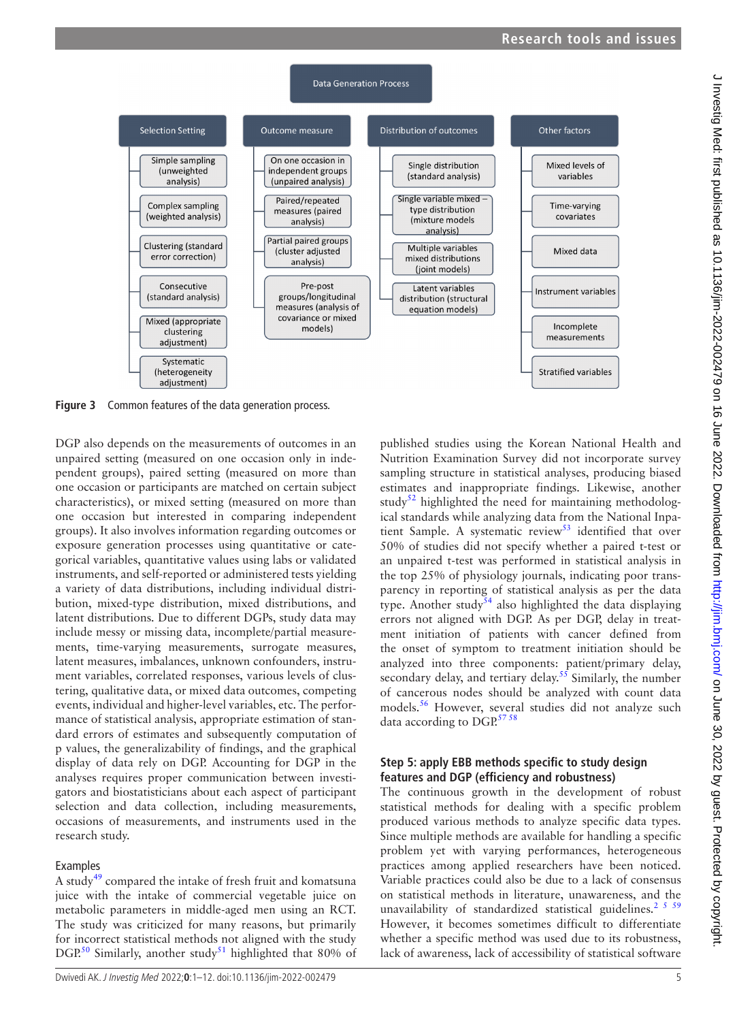

<span id="page-4-0"></span>**Figure 3** Common features of the data generation process.

DGP also depends on the measurements of outcomes in an unpaired setting (measured on one occasion only in independent groups), paired setting (measured on more than one occasion or participants are matched on certain subject characteristics), or mixed setting (measured on more than one occasion but interested in comparing independent groups). It also involves information regarding outcomes or exposure generation processes using quantitative or categorical variables, quantitative values using labs or validated instruments, and self-reported or administered tests yielding a variety of data distributions, including individual distribution, mixed-type distribution, mixed distributions, and latent distributions. Due to different DGPs, study data may include messy or missing data, incomplete/partial measurements, time-varying measurements, surrogate measures, latent measures, imbalances, unknown confounders, instrument variables, correlated responses, various levels of clustering, qualitative data, or mixed data outcomes, competing events, individual and higher-level variables, etc. The performance of statistical analysis, appropriate estimation of standard errors of estimates and subsequently computation of p values, the generalizability of findings, and the graphical display of data rely on DGP. Accounting for DGP in the analyses requires proper communication between investigators and biostatisticians about each aspect of participant selection and data collection, including measurements, occasions of measurements, and instruments used in the research study.

# Examples

A study<sup>49</sup> compared the intake of fresh fruit and komatsuna juice with the intake of commercial vegetable juice on metabolic parameters in middle-aged men using an RCT. The study was criticized for many reasons, but primarily for incorrect statistical methods not aligned with the study DGP.<sup>[50](#page-10-30)</sup> Similarly, another study<sup>[51](#page-10-31)</sup> highlighted that 80% of

published studies using the Korean National Health and Nutrition Examination Survey did not incorporate survey sampling structure in statistical analyses, producing biased estimates and inappropriate findings. Likewise, another study<sup>52</sup> highlighted the need for maintaining methodological standards while analyzing data from the National Inpatient Sample. A systematic review<sup>53</sup> identified that over 50% of studies did not specify whether a paired t-test or an unpaired t-test was performed in statistical analysis in the top 25% of physiology journals, indicating poor transparency in reporting of statistical analysis as per the data type. Another study<sup>[54](#page-10-34)</sup> also highlighted the data displaying errors not aligned with DGP. As per DGP, delay in treatment initiation of patients with cancer defined from the onset of symptom to treatment initiation should be analyzed into three components: patient/primary delay, secondary delay, and tertiary delay.<sup>55</sup> Similarly, the number of cancerous nodes should be analyzed with count data models.[56](#page-10-36) However, several studies did not analyze such data according to DGP.<sup>[57 58](#page-10-37)</sup>

# **Step 5: apply EBB methods specific to study design features and DGP (efficiency and robustness)**

The continuous growth in the development of robust statistical methods for dealing with a specific problem produced various methods to analyze specific data types. Since multiple methods are available for handling a specific problem yet with varying performances, heterogeneous practices among applied researchers have been noticed. Variable practices could also be due to a lack of consensus on statistical methods in literature, unawareness, and the unavailability of standardized statistical guidelines.<sup>[2 5 59](#page-9-1)</sup> However, it becomes sometimes difficult to differentiate whether a specific method was used due to its robustness, lack of awareness, lack of accessibility of statistical software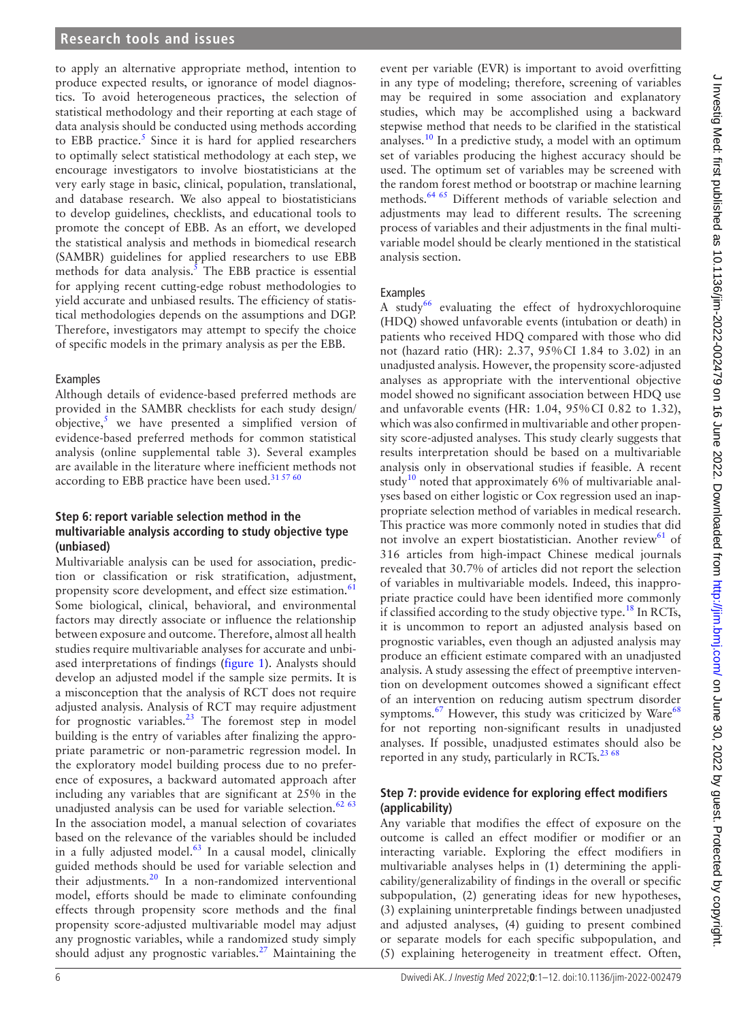to apply an alternative appropriate method, intention to produce expected results, or ignorance of model diagnostics. To avoid heterogeneous practices, the selection of statistical methodology and their reporting at each stage of data analysis should be conducted using methods according to EBB practice.<sup>5</sup> Since it is hard for applied researchers to optimally select statistical methodology at each step, we encourage investigators to involve biostatisticians at the very early stage in basic, clinical, population, translational, and database research. We also appeal to biostatisticians to develop guidelines, checklists, and educational tools to promote the concept of EBB. As an effort, we developed the statistical analysis and methods in biomedical research (SAMBR) guidelines for applied researchers to use EBB methods for data analysis. $5$  The EBB practice is essential for applying recent cutting-edge robust methodologies to yield accurate and unbiased results. The efficiency of statistical methodologies depends on the assumptions and DGP. Therefore, investigators may attempt to specify the choice of specific models in the primary analysis as per the EBB.

# Examples

Although details of evidence-based preferred methods are provided in the SAMBR checklists for each study design/ objective, $\frac{5}{3}$  $\frac{5}{3}$  $\frac{5}{3}$  we have presented a simplified version of evidence-based preferred methods for common statistical analysis [\(online supplemental table 3](https://dx.doi.org/10.1136/jim-2022-002479)). Several examples are available in the literature where inefficient methods not according to EBB practice have been used. $31\,57\,60$ 

# **Step 6: report variable selection method in the multivariable analysis according to study objective type (unbiased)**

Multivariable analysis can be used for association, prediction or classification or risk stratification, adjustment, propensity score development, and effect size estimation.<sup>[61](#page-10-38)</sup> Some biological, clinical, behavioral, and environmental factors may directly associate or influence the relationship between exposure and outcome. Therefore, almost all health studies require multivariable analyses for accurate and unbiased interpretations of findings [\(figure](#page-1-0) 1). Analysts should develop an adjusted model if the sample size permits. It is a misconception that the analysis of RCT does not require adjusted analysis. Analysis of RCT may require adjustment for prognostic variables.[23](#page-10-39) The foremost step in model building is the entry of variables after finalizing the appropriate parametric or non-parametric regression model. In the exploratory model building process due to no preference of exposures, a backward automated approach after including any variables that are significant at 25% in the unadjusted analysis can be used for variable selection.<sup>[62 63](#page-10-40)</sup> In the association model, a manual selection of covariates based on the relevance of the variables should be included in a fully adjusted model. $63$  In a causal model, clinically guided methods should be used for variable selection and their adjustments. $20 \text{ In a non-randomized interventional}$  $20 \text{ In a non-randomized interventional}$ model, efforts should be made to eliminate confounding effects through propensity score methods and the final propensity score-adjusted multivariable model may adjust any prognostic variables, while a randomized study simply should adjust any prognostic variables. $27$  Maintaining the

event per variable (EVR) is important to avoid overfitting in any type of modeling; therefore, screening of variables may be required in some association and explanatory studies, which may be accomplished using a backward stepwise method that needs to be clarified in the statistical analyses.<sup>10</sup> In a predictive study, a model with an optimum set of variables producing the highest accuracy should be used. The optimum set of variables may be screened with the random forest method or bootstrap or machine learning methods.<sup>[64 65](#page-10-43)</sup> Different methods of variable selection and adjustments may lead to different results. The screening process of variables and their adjustments in the final multivariable model should be clearly mentioned in the statistical analysis section.

# Examples

A study<sup>[66](#page-11-0)</sup> evaluating the effect of hydroxychloroquine (HDQ) showed unfavorable events (intubation or death) in patients who received HDQ compared with those who did not (hazard ratio (HR): 2.37, 95%CI 1.84 to 3.02) in an unadjusted analysis. However, the propensity score-adjusted analyses as appropriate with the interventional objective model showed no significant association between HDQ use and unfavorable events (HR: 1.04, 95%CI 0.82 to 1.32), which was also confirmed in multivariable and other propensity score-adjusted analyses. This study clearly suggests that results interpretation should be based on a multivariable analysis only in observational studies if feasible. A recent study<sup>10</sup> noted that approximately 6% of multivariable analyses based on either logistic or Cox regression used an inappropriate selection method of variables in medical research. This practice was more commonly noted in studies that did not involve an expert biostatistician. Another review<sup>61</sup> of 316 articles from high-impact Chinese medical journals revealed that 30.7% of articles did not report the selection of variables in multivariable models. Indeed, this inappropriate practice could have been identified more commonly if classified according to the study objective type.<sup>18</sup> In RCTs, it is uncommon to report an adjusted analysis based on prognostic variables, even though an adjusted analysis may produce an efficient estimate compared with an unadjusted analysis. A study assessing the effect of preemptive intervention on development outcomes showed a significant effect of an intervention on reducing autism spectrum disorder symptoms. $67$  However, this study was criticized by Ware<sup>[68](#page-11-2)</sup> for not reporting non-significant results in unadjusted analyses. If possible, unadjusted estimates should also be reported in any study, particularly in RCTs.<sup>[23 68](#page-10-39)</sup>

# **Step 7: provide evidence for exploring effect modifiers (applicability)**

Any variable that modifies the effect of exposure on the outcome is called an effect modifier or modifier or an interacting variable. Exploring the effect modifiers in multivariable analyses helps in (1) determining the applicability/generalizability of findings in the overall or specific subpopulation, (2) generating ideas for new hypotheses, (3) explaining uninterpretable findings between unadjusted and adjusted analyses, (4) guiding to present combined or separate models for each specific subpopulation, and (5) explaining heterogeneity in treatment effect. Often,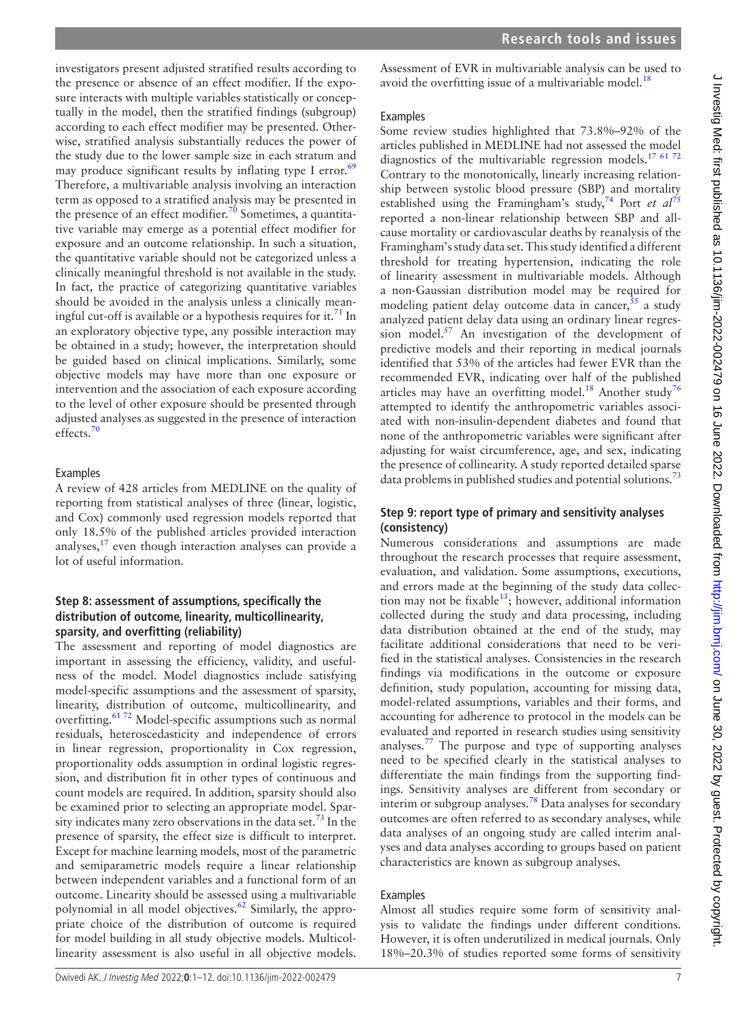investigators present adjusted stratified results according to the presence or absence of an effect modifier. If the exposure interacts with multiple variables statistically or conceptually in the model, then the stratified findings (subgroup) according to each effect modifier may be presented. Otherwise, stratified analysis substantially reduces the power of the study due to the lower sample size in each stratum and may produce significant results by inflating type I error. $69$ Therefore, a multivariable analysis involving an interaction term as opposed to a stratified analysis may be presented in the presence of an effect modifier.<sup>70</sup> Sometimes, a quantitative variable may emerge as a potential effect modifier for exposure and an outcome relationship. In such a situation, the quantitative variable should not be categorized unless a clinically meaningful threshold is not available in the study. In fact, the practice of categorizing quantitative variables should be avoided in the analysis unless a clinically meaningful cut-off is available or a hypothesis requires for it.<sup>71</sup> In an exploratory objective type, any possible interaction may be obtained in a study; however, the interpretation should be guided based on clinical implications. Similarly, some objective models may have more than one exposure or intervention and the association of each exposure according to the level of other exposure should be presented through adjusted analyses as suggested in the presence of interaction effects.<sup>70</sup>

# Examples

A review of 428 articles from MEDLINE on the quality of reporting from statistical analyses of three (linear, logistic, and Cox) commonly used regression models reported that only 18.5% of the published articles provided interaction analyses, $17$  even though interaction analyses can provide a lot of useful information.

# **Step 8: assessment of assumptions, specifically the distribution of outcome, linearity, multicollinearity, sparsity, and overfitting (reliability)**

The assessment and reporting of model diagnostics are important in assessing the efficiency, validity, and usefulness of the model. Model diagnostics include satisfying model-specific assumptions and the assessment of sparsity, linearity, distribution of outcome, multicollinearity, and overfitting.<sup>6172</sup> Model-specific assumptions such as normal residuals, heteroscedasticity and independence of errors in linear regression, proportionality in Cox regression, proportionality odds assumption in ordinal logistic regression, and distribution fit in other types of continuous and count models are required. In addition, sparsity should also be examined prior to selecting an appropriate model. Spar-sity indicates many zero observations in the data set.<sup>[73](#page-11-6)</sup> In the presence of sparsity, the effect size is difficult to interpret. Except for machine learning models, most of the parametric and semiparametric models require a linear relationship between independent variables and a functional form of an outcome. Linearity should be assessed using a multivariable polynomial in all model objectives.<sup>62</sup> Similarly, the appropriate choice of the distribution of outcome is required for model building in all study objective models. Multicollinearity assessment is also useful in all objective models.

Assessment of EVR in multivariable analysis can be used to avoid the overfitting issue of a multivariable model.<sup>18</sup>

# **Examples**

Some review studies highlighted that 73.8%–92% of the articles published in MEDLINE had not assessed the model diagnostics of the multivariable regression models.<sup>[17 61 72](#page-10-7)</sup> Contrary to the monotonically, linearly increasing relationship between systolic blood pressure (SBP) and mortality established using the Framingham's study,<sup>[74](#page-11-7)</sup> Port *et al*<sup>[75](#page-11-8)</sup> reported a non-linear relationship between SBP and allcause mortality or cardiovascular deaths by reanalysis of the Framingham's study data set. This study identified a different threshold for treating hypertension, indicating the role of linearity assessment in multivariable models. Although a non-Gaussian distribution model may be required for modeling patient delay outcome data in cancer,  $55$  a study analyzed patient delay data using an ordinary linear regression model. $57$  An investigation of the development of predictive models and their reporting in medical journals identified that 53% of the articles had fewer EVR than the recommended EVR, indicating over half of the published articles may have an overfitting model.<sup>[18](#page-10-44)</sup> Another study<sup>[76](#page-11-9)</sup> attempted to identify the anthropometric variables associated with non-insulin-dependent diabetes and found that none of the anthropometric variables were significant after adjusting for waist circumference, age, and sex, indicating the presence of collinearity. A study reported detailed sparse data problems in published studies and potential solutions.<sup>[73](#page-11-6)</sup>

# **Step 9: report type of primary and sensitivity analyses (consistency)**

Numerous considerations and assumptions are made throughout the research processes that require assessment, evaluation, and validation. Some assumptions, executions, and errors made at the beginning of the study data collection may not be fixable $13$ ; however, additional information collected during the study and data processing, including data distribution obtained at the end of the study, may facilitate additional considerations that need to be verified in the statistical analyses. Consistencies in the research findings via modifications in the outcome or exposure definition, study population, accounting for missing data, model-related assumptions, variables and their forms, and accounting for adherence to protocol in the models can be evaluated and reported in research studies using sensitivity analyses.<sup>77</sup> The purpose and type of supporting analyses need to be specified clearly in the statistical analyses to differentiate the main findings from the supporting findings. Sensitivity analyses are different from secondary or interim or subgroup analyses.<sup>78</sup> Data analyses for secondary outcomes are often referred to as secondary analyses, while data analyses of an ongoing study are called interim analyses and data analyses according to groups based on patient characteristics are known as subgroup analyses.

# **Examples**

Almost all studies require some form of sensitivity analysis to validate the findings under different conditions. However, it is often underutilized in medical journals. Only 18%–20.3% of studies reported some forms of sensitivity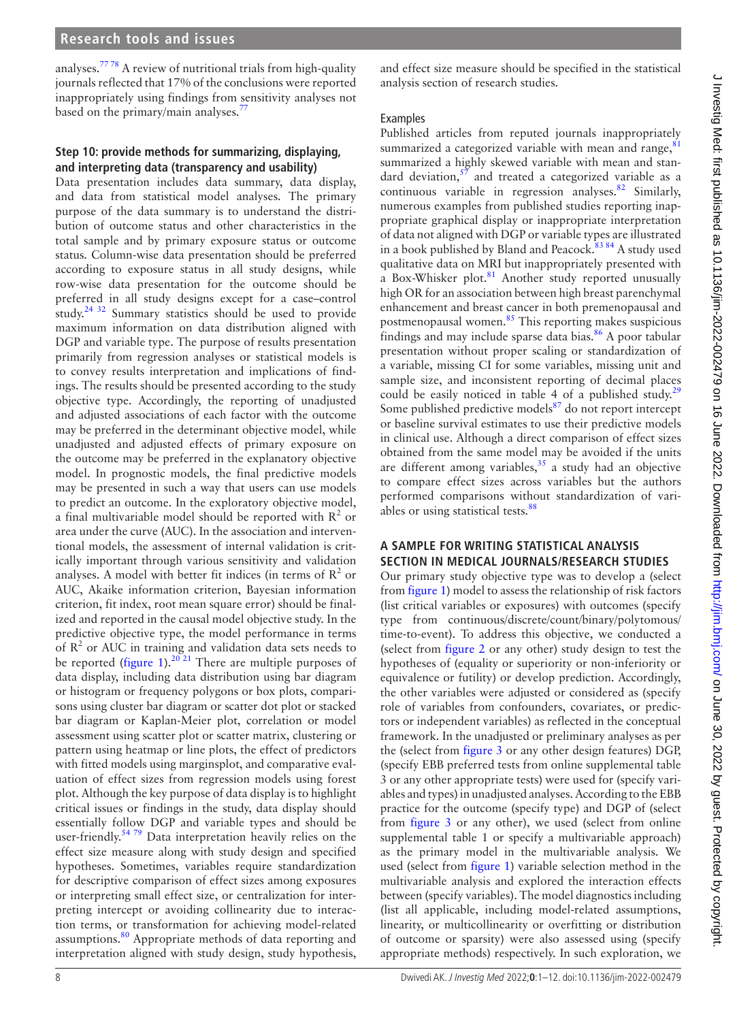analyses.[77 78](#page-11-10) A review of nutritional trials from high-quality journals reflected that 17% of the conclusions were reported inappropriately using findings from sensitivity analyses not based on the primary/main analyses.<sup>[77](#page-11-10)</sup>

# **Step 10: provide methods for summarizing, displaying, and interpreting data (transparency and usability)**

Data presentation includes data summary, data display, and data from statistical model analyses. The primary purpose of the data summary is to understand the distribution of outcome status and other characteristics in the total sample and by primary exposure status or outcome status. Column-wise data presentation should be preferred according to exposure status in all study designs, while row-wise data presentation for the outcome should be preferred in all study designs except for a case–control study.<sup>24 32</sup> Summary statistics should be used to provide maximum information on data distribution aligned with DGP and variable type. The purpose of results presentation primarily from regression analyses or statistical models is to convey results interpretation and implications of findings. The results should be presented according to the study objective type. Accordingly, the reporting of unadjusted and adjusted associations of each factor with the outcome may be preferred in the determinant objective model, while unadjusted and adjusted effects of primary exposure on the outcome may be preferred in the explanatory objective model. In prognostic models, the final predictive models may be presented in such a way that users can use models to predict an outcome. In the exploratory objective model, a final multivariable model should be reported with  $R^2$  or area under the curve (AUC). In the association and interventional models, the assessment of internal validation is critically important through various sensitivity and validation analyses. A model with better fit indices (in terms of  $\mathbb{R}^2$  or AUC, Akaike information criterion, Bayesian information criterion, fit index, root mean square error) should be finalized and reported in the causal model objective study. In the predictive objective type, the model performance in terms of  $R<sup>2</sup>$  or AUC in training and validation data sets needs to be reported ([figure](#page-1-0) 1).<sup>[20 21](#page-10-9)</sup> There are multiple purposes of data display, including data distribution using bar diagram or histogram or frequency polygons or box plots, comparisons using cluster bar diagram or scatter dot plot or stacked bar diagram or Kaplan-Meier plot, correlation or model assessment using scatter plot or scatter matrix, clustering or pattern using heatmap or line plots, the effect of predictors with fitted models using marginsplot, and comparative evaluation of effect sizes from regression models using forest plot. Although the key purpose of data display is to highlight critical issues or findings in the study, data display should essentially follow DGP and variable types and should be user-friendly.<sup>54 79</sup> Data interpretation heavily relies on the effect size measure along with study design and specified hypotheses. Sometimes, variables require standardization for descriptive comparison of effect sizes among exposures or interpreting small effect size, or centralization for interpreting intercept or avoiding collinearity due to interaction terms, or transformation for achieving model-related assumptions.<sup>[80](#page-11-12)</sup> Appropriate methods of data reporting and interpretation aligned with study design, study hypothesis,

and effect size measure should be specified in the statistical analysis section of research studies.

# Examples

Published articles from reputed journals inappropriately summarized a categorized variable with mean and range, $81$ summarized a highly skewed variable with mean and stan-dard deviation,<sup>[57](#page-10-37)</sup> and treated a categorized variable as a continuous variable in regression analyses.<sup>[82](#page-11-14)</sup> Similarly, numerous examples from published studies reporting inappropriate graphical display or inappropriate interpretation of data not aligned with DGP or variable types are illustrated in a book published by Bland and Peacock.<sup>83 84</sup> A study used qualitative data on MRI but inappropriately presented with a Box-Whisker plot.<sup>81</sup> Another study reported unusually high OR for an association between high breast parenchymal enhancement and breast cancer in both premenopausal and postmenopausal women.<sup>[85](#page-11-16)</sup> This reporting makes suspicious findings and may include sparse data bias.<sup>[86](#page-11-17)</sup> A poor tabular presentation without proper scaling or standardization of a variable, missing CI for some variables, missing unit and sample size, and inconsistent reporting of decimal places could be easily noticed in table 4 of a published study.<sup>[29](#page-10-14)</sup> Some published predictive models<sup>87</sup> do not report intercept or baseline survival estimates to use their predictive models in clinical use. Although a direct comparison of effect sizes obtained from the same model may be avoided if the units are different among variables, $35$  a study had an objective to compare effect sizes across variables but the authors performed comparisons without standardization of vari-ables or using statistical tests.<sup>[88](#page-11-19)</sup>

# **A SAMPLE FOR WRITING STATISTICAL ANALYSIS SECTION IN MEDICAL JOURNALS/RESEARCH STUDIES**

Our primary study objective type was to develop a (select from [figure](#page-1-0) 1) model to assess the relationship of risk factors (list critical variables or exposures) with outcomes (specify type from continuous/discrete/count/binary/polytomous/ time-to-event). To address this objective, we conducted a (select from [figure](#page-2-0) 2 or any other) study design to test the hypotheses of (equality or superiority or non-inferiority or equivalence or futility) or develop prediction. Accordingly, the other variables were adjusted or considered as (specify role of variables from confounders, covariates, or predictors or independent variables) as reflected in the conceptual framework. In the unadjusted or preliminary analyses as per the (select from [figure](#page-4-0) 3 or any other design features) DGP, (specify EBB preferred tests from [online supplemental table](https://dx.doi.org/10.1136/jim-2022-002479) [3](https://dx.doi.org/10.1136/jim-2022-002479) or any other appropriate tests) were used for (specify variables and types) in unadjusted analyses. According to the EBB practice for the outcome (specify type) and DGP of (select from [figure](#page-4-0) 3 or any other), we used (select from [online](https://dx.doi.org/10.1136/jim-2022-002479) [supplemental table 1](https://dx.doi.org/10.1136/jim-2022-002479) or specify a multivariable approach) as the primary model in the multivariable analysis. We used (select from [figure](#page-1-0) 1) variable selection method in the multivariable analysis and explored the interaction effects between (specify variables). The model diagnostics including (list all applicable, including model-related assumptions, linearity, or multicollinearity or overfitting or distribution of outcome or sparsity) were also assessed using (specify appropriate methods) respectively. In such exploration, we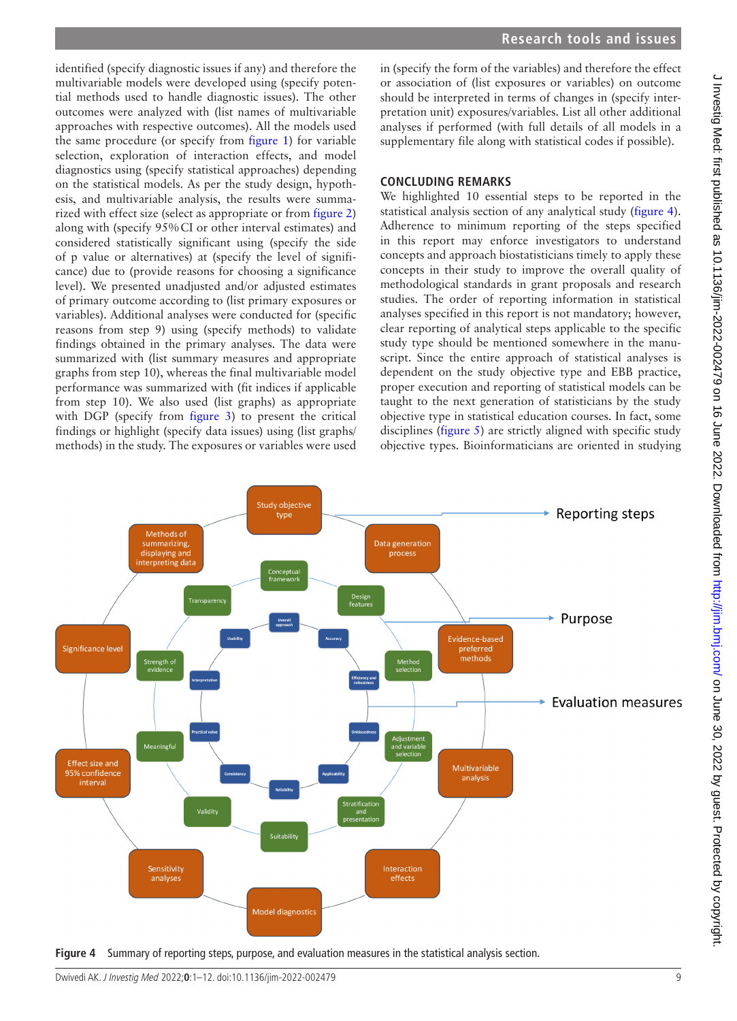identified (specify diagnostic issues if any) and therefore the multivariable models were developed using (specify potential methods used to handle diagnostic issues). The other outcomes were analyzed with (list names of multivariable approaches with respective outcomes). All the models used the same procedure (or specify from [figure](#page-1-0) 1) for variable selection, exploration of interaction effects, and model diagnostics using (specify statistical approaches) depending on the statistical models. As per the study design, hypothesis, and multivariable analysis, the results were summarized with effect size (select as appropriate or from [figure](#page-2-0) 2) along with (specify 95%CI or other interval estimates) and considered statistically significant using (specify the side of p value or alternatives) at (specify the level of significance) due to (provide reasons for choosing a significance level). We presented unadjusted and/or adjusted estimates of primary outcome according to (list primary exposures or variables). Additional analyses were conducted for (specific reasons from step 9) using (specify methods) to validate findings obtained in the primary analyses. The data were summarized with (list summary measures and appropriate graphs from step 10), whereas the final multivariable model performance was summarized with (fit indices if applicable from step 10). We also used (list graphs) as appropriate with DGP (specify from [figure](#page-4-0) 3) to present the critical findings or highlight (specify data issues) using (list graphs/ methods) in the study. The exposures or variables were used

in (specify the form of the variables) and therefore the effect or association of (list exposures or variables) on outcome should be interpreted in terms of changes in (specify interpretation unit) exposures/variables. List all other additional analyses if performed (with full details of all models in a supplementary file along with statistical codes if possible).

# **CONCLUDING REMARKS**

We highlighted 10 essential steps to be reported in the statistical analysis section of any analytical study ([figure](#page-8-0) 4). Adherence to minimum reporting of the steps specified in this report may enforce investigators to understand concepts and approach biostatisticians timely to apply these concepts in their study to improve the overall quality of methodological standards in grant proposals and research studies. The order of reporting information in statistical analyses specified in this report is not mandatory; however, clear reporting of analytical steps applicable to the specific study type should be mentioned somewhere in the manuscript. Since the entire approach of statistical analyses is dependent on the study objective type and EBB practice, proper execution and reporting of statistical models can be taught to the next generation of statisticians by the study objective type in statistical education courses. In fact, some disciplines ([figure](#page-9-4) 5) are strictly aligned with specific study objective types. Bioinformaticians are oriented in studying



<span id="page-8-0"></span>**Figure 4** Summary of reporting steps, purpose, and evaluation measures in the statistical analysis section.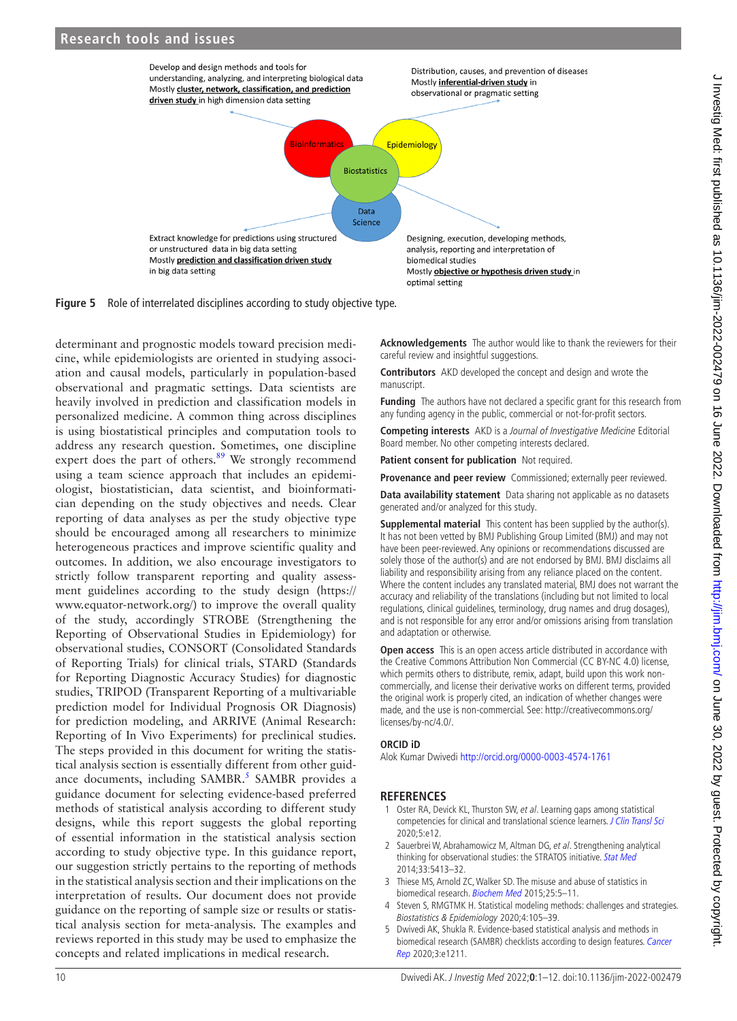

**Figure 5** Role of interrelated disciplines according to study objective type.

determinant and prognostic models toward precision medicine, while epidemiologists are oriented in studying association and causal models, particularly in population-based observational and pragmatic settings. Data scientists are heavily involved in prediction and classification models in personalized medicine. A common thing across disciplines is using biostatistical principles and computation tools to address any research question. Sometimes, one discipline expert does the part of others. $89$  We strongly recommend using a team science approach that includes an epidemiologist, biostatistician, data scientist, and bioinformatician depending on the study objectives and needs. Clear reporting of data analyses as per the study objective type should be encouraged among all researchers to minimize heterogeneous practices and improve scientific quality and outcomes. In addition, we also encourage investigators to strictly follow transparent reporting and quality assessment guidelines according to the study design ([https://](https://www.equator-network.org/) [www.equator-network.org/](https://www.equator-network.org/)) to improve the overall quality of the study, accordingly STROBE (Strengthening the Reporting of Observational Studies in Epidemiology) for observational studies, CONSORT (Consolidated Standards of Reporting Trials) for clinical trials, STARD (Standards for Reporting Diagnostic Accuracy Studies) for diagnostic studies, TRIPOD (Transparent Reporting of a multivariable prediction model for Individual Prognosis OR Diagnosis) for prediction modeling, and ARRIVE (Animal Research: Reporting of In Vivo Experiments) for preclinical studies. The steps provided in this document for writing the statistical analysis section is essentially different from other guid-ance documents, including SAMBR.<sup>[5](#page-9-3)</sup> SAMBR provides a guidance document for selecting evidence-based preferred methods of statistical analysis according to different study designs, while this report suggests the global reporting of essential information in the statistical analysis section according to study objective type. In this guidance report, our suggestion strictly pertains to the reporting of methods in the statistical analysis section and their implications on the interpretation of results. Our document does not provide guidance on the reporting of sample size or results or statistical analysis section for meta-analysis. The examples and reviews reported in this study may be used to emphasize the concepts and related implications in medical research.

<span id="page-9-4"></span>**Acknowledgements** The author would like to thank the reviewers for their careful review and insightful suggestions.

**Contributors** AKD developed the concept and design and wrote the manuscript.

**Funding** The authors have not declared a specific grant for this research from any funding agency in the public, commercial or not-for-profit sectors.

**Competing interests** AKD is a Journal of Investigative Medicine Editorial Board member. No other competing interests declared.

**Patient consent for publication** Not required.

**Provenance and peer review** Commissioned; externally peer reviewed.

**Data availability statement** Data sharing not applicable as no datasets generated and/or analyzed for this study.

**Supplemental material** This content has been supplied by the author(s). It has not been vetted by BMJ Publishing Group Limited (BMJ) and may not have been peer-reviewed. Any opinions or recommendations discussed are solely those of the author(s) and are not endorsed by BMJ. BMJ disclaims all liability and responsibility arising from any reliance placed on the content. Where the content includes any translated material, BMJ does not warrant the accuracy and reliability of the translations (including but not limited to local regulations, clinical guidelines, terminology, drug names and drug dosages), and is not responsible for any error and/or omissions arising from translation and adaptation or otherwise.

**Open access** This is an open access article distributed in accordance with the Creative Commons Attribution Non Commercial (CC BY-NC 4.0) license, which permits others to distribute, remix, adapt, build upon this work noncommercially, and license their derivative works on different terms, provided the original work is properly cited, an indication of whether changes were made, and the use is non-commercial. See: [http://creativecommons.org/](http://creativecommons.org/licenses/by-nc/4.0/) [licenses/by-nc/4.0/](http://creativecommons.org/licenses/by-nc/4.0/).

### **ORCID iD**

Alok Kumar Dwivedi<http://orcid.org/0000-0003-4574-1761>

# **REFERENCES**

- <span id="page-9-0"></span>1 Oster RA, Devick KL, Thurston SW, et al. Learning gaps among statistical competencies for clinical and translational science learners. [J Clin Transl Sci](http://dx.doi.org/10.1017/cts.2020.498) 2020;5:e12.
- <span id="page-9-1"></span>2 Sauerbrei W, Abrahamowicz M, Altman DG, et al. Strengthening analytical thinking for observational studies: the STRATOS initiative. [Stat Med](http://dx.doi.org/10.1002/sim.6265) 2014;33:5413–32.
- 3 Thiese MS, Arnold ZC, Walker SD. The misuse and abuse of statistics in biomedical research. [Biochem Med](http://dx.doi.org/10.11613/BM.2015.001) 2015;25:5-11.
- <span id="page-9-2"></span>Steven S, RMGTMK H. Statistical modeling methods: challenges and strategies. Biostatistics & Epidemiology 2020;4:105–39.
- <span id="page-9-3"></span>5 Dwivedi AK, Shukla R. Evidence-based statistical analysis and methods in biomedical research (SAMBR) checklists according to design features. Cancer [Rep](http://dx.doi.org/10.1002/cnr2.1211) 2020;3:e1211.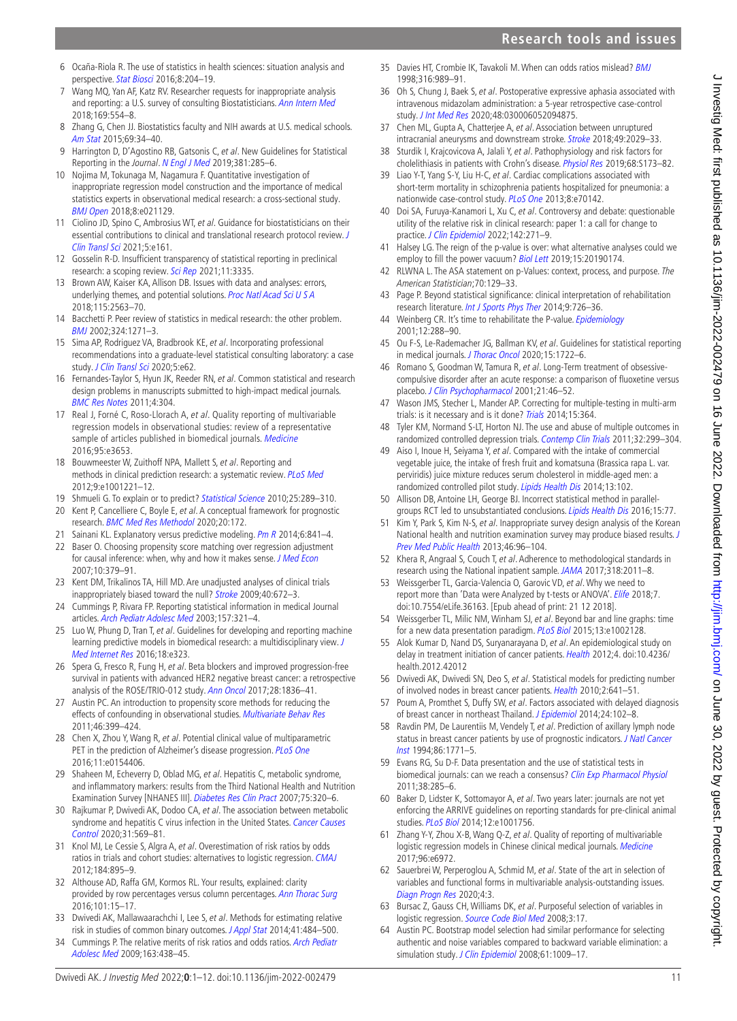- <span id="page-10-0"></span>6 Ocaña-Riola R. The use of statistics in health sciences: situation analysis and perspective. [Stat Biosci](http://dx.doi.org/10.1007/s12561-015-9138-4) 2016;8:204-19.
- <span id="page-10-1"></span>7 Wang MQ, Yan AF, Katz RV. Researcher requests for inappropriate analysis and reporting: a U.S. survey of consulting Biostatisticians. [Ann Intern Med](http://dx.doi.org/10.7326/M18-1230) 2018;169:554–8.
- <span id="page-10-2"></span>8 Zhang G, Chen JJ. Biostatistics faculty and NIH awards at U.S. medical schools. [Am Stat](http://dx.doi.org/10.1080/00031305.2014.992959) 2015;69:34–40.
- 9 Harrington D, D'Agostino RB, Gatsonis C, et al. New Guidelines for Statistical Reporting in the Journal. [N Engl J Med](http://dx.doi.org/10.1056/NEJMe1906559) 2019;381:285-6.
- <span id="page-10-42"></span>10 Nojima M, Tokunaga M, Nagamura F. Quantitative investigation of inappropriate regression model construction and the importance of medical statistics experts in observational medical research: a cross-sectional study. [BMJ Open](http://dx.doi.org/10.1136/bmjopen-2017-021129) 2018;8:e021129.
- 11 Ciolino JD, Spino C, Ambrosius WT, et al. Guidance for biostatisticians on their essential contributions to clinical and translational research protocol review. J [Clin Transl Sci](http://dx.doi.org/10.1017/cts.2021.814) 2021;5:e161.
- <span id="page-10-3"></span>12 Gosselin R-D. Insufficient transparency of statistical reporting in preclinical research: a scoping review. [Sci Rep](http://dx.doi.org/10.1038/s41598-021-83006-5) 2021;11:3335.
- <span id="page-10-45"></span>13 Brown AW, Kaiser KA, Allison DB. Issues with data and analyses: errors, underlying themes, and potential solutions. [Proc Natl Acad Sci U S A](http://dx.doi.org/10.1073/pnas.1708279115) 2018;115:2563–70.
- <span id="page-10-4"></span>14 Bacchetti P. Peer review of statistics in medical research: the other problem. [BMJ](http://dx.doi.org/10.1136/bmj.324.7348.1271) 2002;324:1271–3.
- <span id="page-10-5"></span>15 Sima AP, Rodriguez VA, Bradbrook KE, et al. Incorporating professional recommendations into a graduate-level statistical consulting laboratory: a case study. [J Clin Transl Sci](http://dx.doi.org/10.1017/cts.2020.527) 2020;5:e62.
- <span id="page-10-6"></span>16 Fernandes-Taylor S, Hyun JK, Reeder RN, et al. Common statistical and research design problems in manuscripts submitted to high-impact medical journals. [BMC Res Notes](http://dx.doi.org/10.1186/1756-0500-4-304) 2011;4:304.
- <span id="page-10-7"></span>17 Real J, Forné C, Roso-Llorach A, et al. Quality reporting of multivariable regression models in observational studies: review of a representative sample of articles published in biomedical journals. [Medicine](http://dx.doi.org/10.1097/MD.0000000000003653) 2016;95:e3653.
- <span id="page-10-44"></span>18 Bouwmeester W, Zuithoff NPA, Mallett S, et al. Reporting and methods in clinical prediction research: a systematic review. [PLoS Med](http://dx.doi.org/10.1371/journal.pmed.1001221) 2012;9:e1001221–12.
- <span id="page-10-8"></span>19 Shmueli G. To explain or to predict? [Statistical Science](http://dx.doi.org/10.1214/10-STS330) 2010;25:289-310.
- <span id="page-10-9"></span>20 Kent P, Cancelliere C, Boyle E, et al. A conceptual framework for prognostic research. [BMC Med Res Methodol](http://dx.doi.org/10.1186/s12874-020-01050-7) 2020;20:172.
- 21 Sainani KL. Explanatory versus predictive modeling. Pm  $R$  2014;6:841-4.
- <span id="page-10-10"></span>22 Baser O. Choosing propensity score matching over regression adjustment for causal inference: when, why and how it makes sense. [J Med Econ](http://dx.doi.org/10.3111/13696990701646577) 2007;10:379–91.
- <span id="page-10-39"></span>23 Kent DM, Trikalinos TA, Hill MD. Are unadjusted analyses of clinical trials inappropriately biased toward the null? [Stroke](http://dx.doi.org/10.1161/STROKEAHA.108.532051) 2009;40:672-3.
- <span id="page-10-24"></span>24 Cummings P, Rivara FP. Reporting statistical information in medical Journal articles. [Arch Pediatr Adolesc Med](http://dx.doi.org/10.1001/archpedi.157.4.321) 2003;157:321-4.
- 25 Luo W, Phung D, Tran T, et al. Guidelines for developing and reporting machine learning predictive models in biomedical research: a multidisciplinary view. J [Med Internet Res](http://dx.doi.org/10.2196/jmir.5870) 2016;18:e323.
- <span id="page-10-11"></span>26 Spera G, Fresco R, Fung H, et al. Beta blockers and improved progression-free survival in patients with advanced HER2 negative breast cancer: a retrospective analysis of the ROSE/TRIO-012 study. [Ann Oncol](http://dx.doi.org/10.1093/annonc/mdx264) 2017;28:1836-41.
- <span id="page-10-12"></span>27 Austin PC. An introduction to propensity score methods for reducing the effects of confounding in observational studies. [Multivariate Behav Res](http://dx.doi.org/10.1080/00273171.2011.568786) 2011;46:399–424.
- <span id="page-10-13"></span>Chen X, Zhou Y, Wang R, et al. Potential clinical value of multiparametric PET in the prediction of Alzheimer's disease progression. [PLoS One](http://dx.doi.org/10.1371/journal.pone.0154406) 2016;11:e0154406.
- <span id="page-10-14"></span>29 Shaheen M, Echeverry D, Oblad MG, et al. Hepatitis C, metabolic syndrome, and inflammatory markers: results from the Third National Health and Nutrition Examination Survey [NHANES III]. [Diabetes Res Clin Pract](http://dx.doi.org/10.1016/j.diabres.2006.07.008) 2007;75:320-6.
- <span id="page-10-15"></span>30 Rajkumar P, Dwivedi AK, Dodoo CA, et al. The association between metabolic syndrome and hepatitis C virus infection in the United States. Cancer Causes [Control](http://dx.doi.org/10.1007/s10552-020-01300-5) 2020;31:569–81.
- <span id="page-10-16"></span>31 Knol MJ, Le Cessie S, Algra A, et al. Overestimation of risk ratios by odds ratios in trials and cohort studies: alternatives to logistic regression. [CMAJ](http://dx.doi.org/10.1503/cmaj.101715) 2012;184:895–9.
- 32 Althouse AD, Raffa GM, Kormos RL. Your results, explained: clarity provided by row percentages versus column percentages. [Ann Thorac Surg](http://dx.doi.org/10.1016/j.athoracsur.2015.09.015) 2016;101:15–17.
- <span id="page-10-17"></span>33 Dwivedi AK, Mallawaarachchi I, Lee S, et al. Methods for estimating relative risk in studies of common binary outcomes. [J Appl Stat](http://dx.doi.org/10.1080/02664763.2013.840772) 2014;41:484-500.
- <span id="page-10-18"></span>34 Cummings P. The relative merits of risk ratios and odds ratios. Arch Pediatr [Adolesc Med](http://dx.doi.org/10.1001/archpediatrics.2009.31) 2009;163:438–45.
- <span id="page-10-46"></span>35 Davies HT, Crombie IK, Tavakoli M. When can odds ratios mislead? [BMJ](http://dx.doi.org/10.1136/bmj.316.7136.989) 1998;316:989–91.
- <span id="page-10-19"></span>36 Oh S, Chung J, Baek S, et al. Postoperative expressive aphasia associated with intravenous midazolam administration: a 5-year retrospective case-control study. [J Int Med Res](http://dx.doi.org/10.1177/0300060520948751) 2020;48:030006052094875.
- 37 Chen ML, Gupta A, Chatterjee A, et al. Association between unruptured intracranial aneurysms and downstream stroke. [Stroke](http://dx.doi.org/10.1161/STROKEAHA.118.021985) 2018;49:2029-33.
- <span id="page-10-20"></span>38 Sturdik I, Krajcovicova A, Jalali Y, et al. Pathophysiology and risk factors for cholelithiasis in patients with Crohn's disease. [Physiol Res](http://dx.doi.org/10.33549/physiolres.934302) 2019;68:S173-82.
- 39 Liao Y-T, Yang S-Y, Liu H-C, et al. Cardiac complications associated with short-term mortality in schizophrenia patients hospitalized for pneumonia: a nationwide case-control study. [PLoS One](http://dx.doi.org/10.1371/journal.pone.0070142) 2013;8:e70142.
- <span id="page-10-21"></span>40 Doi SA, Furuya-Kanamori L, Xu C, et al. Controversy and debate: questionable utility of the relative risk in clinical research: paper 1: a call for change to practice. [J Clin Epidemiol](http://dx.doi.org/10.1016/j.jclinepi.2020.08.019) 2022;142:271-9.
- <span id="page-10-22"></span>41 Halsey LG. The reign of the p-value is over: what alternative analyses could we employ to fill the power vacuum? [Biol Lett](http://dx.doi.org/10.1098/rsbl.2019.0174) 2019;15:20190174.
- 42 RLWNA L. The ASA statement on p-Values: context, process, and purpose. The American Statistician;70:129–33.
- <span id="page-10-23"></span>43 Page P. Beyond statistical significance: clinical interpretation of rehabilitation research literature. [Int J Sports Phys Ther](http://www.ncbi.nlm.nih.gov/pubmed/25328834) 2014;9:726-36.
- 44 Weinberg CR. It's time to rehabilitate the P-value. [Epidemiology](http://dx.doi.org/10.1097/00001648-200105000-00004) 2001;12:288–90.
- <span id="page-10-25"></span>45 Ou F-S, Le-Rademacher JG, Ballman KV, et al. Guidelines for statistical reporting in medical journals. [J Thorac Oncol](http://dx.doi.org/10.1016/j.jtho.2020.08.019) 2020;15:1722-6.
- <span id="page-10-26"></span>46 Romano S, Goodman W, Tamura R, et al. Long-Term treatment of obsessivecompulsive disorder after an acute response: a comparison of fluoxetine versus placebo. [J Clin Psychopharmacol](http://dx.doi.org/10.1097/00004714-200102000-00009) 2001;21:46-52.
- <span id="page-10-27"></span>47 Wason JMS, Stecher L, Mander AP. Correcting for multiple-testing in multi-arm trials: is it necessary and is it done? [Trials](http://dx.doi.org/10.1186/1745-6215-15-364) 2014;15:364.
- <span id="page-10-28"></span>48 Tyler KM, Normand S-LT, Horton NJ. The use and abuse of multiple outcomes in randomized controlled depression trials. [Contemp Clin Trials](http://dx.doi.org/10.1016/j.cct.2010.12.007) 2011;32:299–304.
- <span id="page-10-29"></span>49 Aiso I, Inoue H, Seiyama Y, et al. Compared with the intake of commercial vegetable juice, the intake of fresh fruit and komatsuna (Brassica rapa L. var. perviridis) juice mixture reduces serum cholesterol in middle-aged men: a randomized controlled pilot study. [Lipids Health Dis](http://dx.doi.org/10.1186/1476-511X-13-102) 2014;13:102.
- <span id="page-10-30"></span>50 Allison DB, Antoine LH, George BJ. Incorrect statistical method in parallel-groups RCT led to unsubstantiated conclusions. [Lipids Health Dis](http://dx.doi.org/10.1186/s12944-016-0242-3) 2016;15:77.
- <span id="page-10-31"></span>51 Kim Y, Park S, Kim N-S, et al. Inappropriate survey design analysis of the Korean National health and nutrition examination survey may produce biased results. [J](http://dx.doi.org/10.3961/jpmph.2013.46.2.96)  [Prev Med Public Health](http://dx.doi.org/10.3961/jpmph.2013.46.2.96) 2013;46:96–104.
- <span id="page-10-32"></span>52 Khera R, Angraal S, Couch T, et al. Adherence to methodological standards in research using the National inpatient sample. [JAMA](http://dx.doi.org/10.1001/jama.2017.17653) 2017;318:2011-8.
- <span id="page-10-33"></span>53 Weissgerber TL, Garcia-Valencia O, Garovic VD, et al. Why we need to report more than 'Data were Analyzed by t-tests or ANOVA'. [Elife](http://dx.doi.org/10.7554/eLife.36163) 2018;7. doi:10.7554/eLife.36163. [Epub ahead of print: 21 12 2018].
- <span id="page-10-34"></span>54 Weissgerber TL, Milic NM, Winham SJ, et al. Beyond bar and line graphs: time for a new data presentation paradigm. [PLoS Biol](http://dx.doi.org/10.1371/journal.pbio.1002128) 2015;13:e1002128.
- <span id="page-10-35"></span>55 Alok Kumar D, Nand DS, Suryanarayana D, et al. An epidemiological study on delay in treatment initiation of cancer patients. [Health](http://dx.doi.org/10.4236/health.2012.42012) 2012;4. doi:10.4236/ health.2012.42012
- <span id="page-10-36"></span>56 Dwivedi AK, Dwivedi SN, Deo S, et al. Statistical models for predicting number of involved nodes in breast cancer patients. [Health](http://dx.doi.org/10.4236/health.2010.27098) 2010;2:641-51.
- <span id="page-10-37"></span>57 Poum A, Promthet S, Duffy SW, et al. Factors associated with delayed diagnosis of breast cancer in northeast Thailand. [J Epidemiol](http://dx.doi.org/10.2188/jea.JE20130090) 2014;24:102-8.
- 58 Ravdin PM, De Laurentiis M, Vendely T, et al. Prediction of axillary lymph node status in breast cancer patients by use of prognostic indicators. J Natl Cancer [Inst](http://dx.doi.org/10.1093/jnci/86.23.1771) 1994;86:1771–5.
- 59 Evans RG, Su D-F. Data presentation and the use of statistical tests in biomedical journals: can we reach a consensus? [Clin Exp Pharmacol Physiol](http://dx.doi.org/10.1111/j.1440-1681.2011.05508.x) 2011;38:285–6.
- 60 Baker D, Lidster K, Sottomayor A, et al. Two years later: journals are not yet enforcing the ARRIVE guidelines on reporting standards for pre-clinical animal studies. [PLoS Biol](http://dx.doi.org/10.1371/journal.pbio.1001756) 2014;12:e1001756.
- <span id="page-10-38"></span>61 Zhang Y-Y, Zhou X-B, Wang Q-Z, et al. Quality of reporting of multivariable logistic regression models in Chinese clinical medical journals. [Medicine](http://dx.doi.org/10.1097/MD.0000000000006972) 2017;96:e6972.
- <span id="page-10-40"></span>62 Sauerbrei W, Perperoglou A, Schmid M, et al. State of the art in selection of variables and functional forms in multivariable analysis-outstanding issues. [Diagn Progn Res](http://dx.doi.org/10.1186/s41512-020-00074-3) 2020;4:3.
- <span id="page-10-41"></span>63 Bursac Z, Gauss CH, Williams DK, et al. Purposeful selection of variables in logistic regression. [Source Code Biol Med](http://dx.doi.org/10.1186/1751-0473-3-17) 2008;3:17.
- <span id="page-10-43"></span>64 Austin PC. Bootstrap model selection had similar performance for selecting authentic and noise variables compared to backward variable elimination: a simulation study. [J Clin Epidemiol](http://dx.doi.org/10.1016/j.jclinepi.2007.11.014) 2008;61:1009-17.